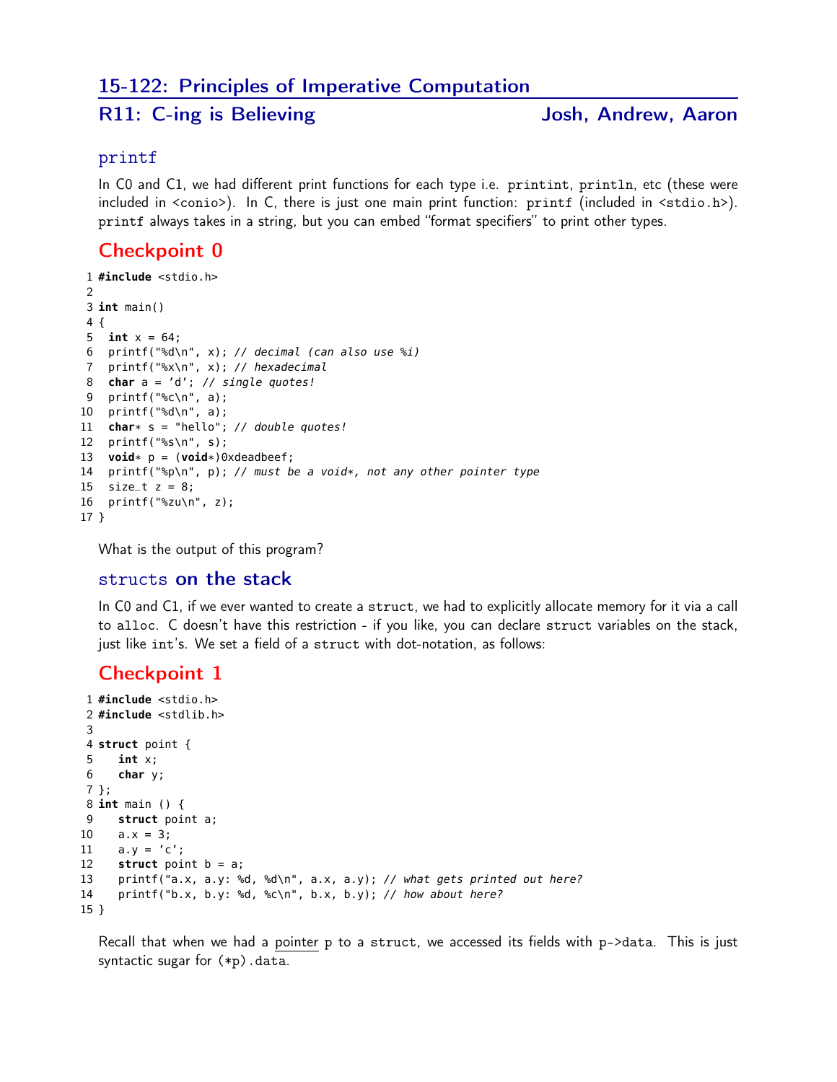### 15-122: Principles of Imperative Computation

## R11: C-ing is Believing The Matter States and Josh, Andrew, Aaron

#### printf

In CO and C1, we had different print functions for each type i.e. printint, println, etc (these were included in <conio>). In C, there is just one main print function: printf (included in <stdio.h>). printf always takes in a string, but you can embed "format specifiers" to print other types.

#### Checkpoint 0

```
1 #include <stdio.h>
\mathfrak{D}3 int main()
4 {
5 int x = 64;
6 printf("%d\n", x); // decimal (can also use %i)
7 printf("%x\n", x); // hexadecimal
8 char a = 'd'; // single quotes!
9 printf("%c\n", a);
10 printf("%d\n", a);
11 char* s = "hello"; // double quotes!
12 printf("%s\n", s);
13 void* p = (void*)0xdeadbeef;
14 printf("%p\n", p); // must be a void*, not any other pointer type
15 size_t z = 8;16 printf("%zu\n", z);
17 }
```
What is the output of this program?

#### structs on the stack

In C0 and C1, if we ever wanted to create a struct, we had to explicitly allocate memory for it via a call to alloc. C doesn't have this restriction - if you like, you can declare struct variables on the stack, just like int's. We set a field of a struct with dot-notation, as follows:

#### Checkpoint 1

```
1 #include <stdio.h>
2 #include <stdlib.h>
3
4 struct point {
5 int x;
6 char y;
7 };
8 int main () {
9 struct point a;
10 a.x = 3;11 a.y = 'c';12 struct point b = a;
13 printf("a.x, a.y: %d, %d\n", a.x, a.y); // what gets printed out here?
14 printf("b.x, b.y: %d, %c\n", b.x, b.y); // how about here?
15 }
```
Recall that when we had a pointer p to a struct, we accessed its fields with p->data. This is just syntactic sugar for (\*p).data.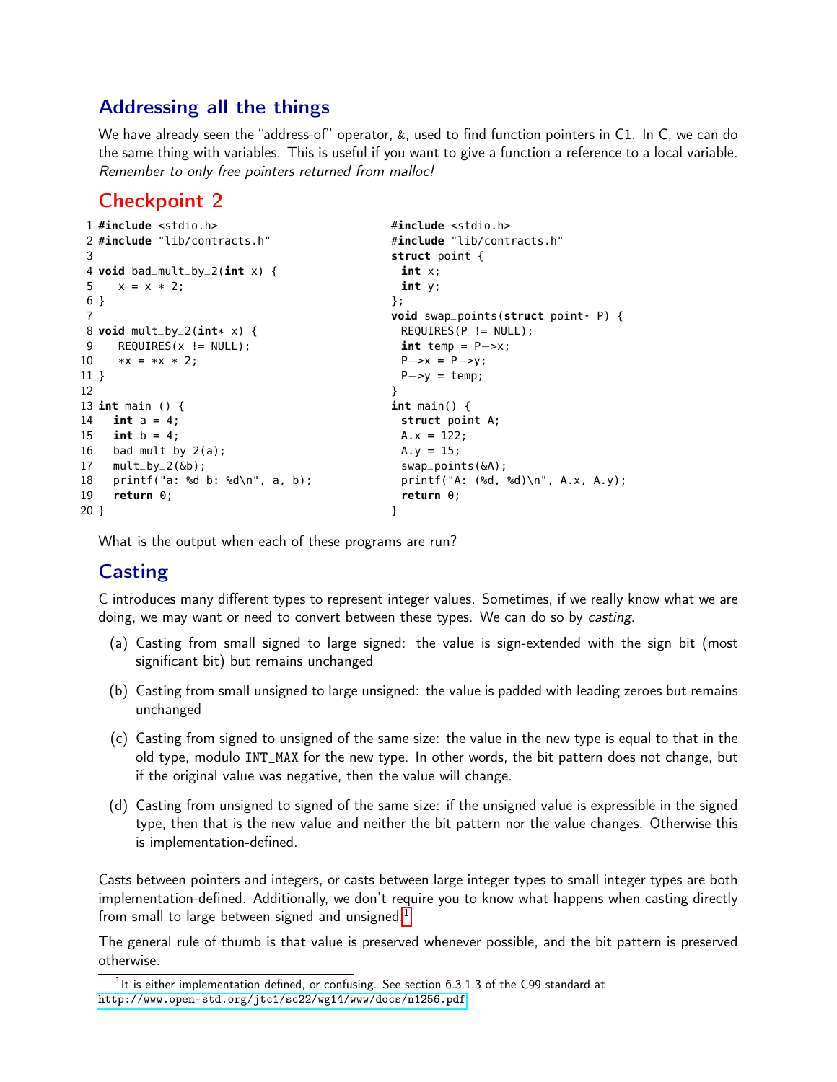## Addressing all the things

We have already seen the "address-of" operator, &, used to find function pointers in C1. In C, we can do the same thing with variables. This is useful if you want to give a function a reference to a local variable. Remember to only free pointers returned from malloc!

## Checkpoint 2

```
1 #include <stdio.h> #include <stdio.h>
2 #include "lib/contracts.h" #include "lib/contracts.h"
3 struct point {
4 void bad_mult_by_2(int x) { int x;
5 \times = \times \times 2; int y;
6 } \{\}7 void swap_points(struct point* P) {
8 void mult_by_2(\text{int*} \times) {<br>9     REQUIRES(x != NULL);<br>int temp = P->x;
  \mathsf{REQUIRES}(x \ \mathsf{!=} \ \mathsf{NULL});
10 *x = x \times 2; P->x = P->y;
11 } P−>y = temp;
12 }
13 int main () { int main() {
14 int a = 4; struct point A;
15 int b = 4; A.x = 122;
16 bad_mult_by_2(a); A.y = 15;
17 mult_by_2(&b); swap_points(&A);
18 printf("a: %d b: %d\n", a, b); printf("A: (%d, %d)\n", A.x, A.y);
19 return 0; return 0;
20 } }
```
What is the output when each of these programs are run?

# **Casting**

C introduces many different types to represent integer values. Sometimes, if we really know what we are doing, we may want or need to convert between these types. We can do so by *casting*.

- (a) Casting from small signed to large signed: the value is sign-extended with the sign bit (most significant bit) but remains unchanged
- (b) Casting from small unsigned to large unsigned: the value is padded with leading zeroes but remains unchanged
- (c) Casting from signed to unsigned of the same size: the value in the new type is equal to that in the old type, modulo INT\_MAX for the new type. In other words, the bit pattern does not change, but if the original value was negative, then the value will change.
- (d) Casting from unsigned to signed of the same size: if the unsigned value is expressible in the signed type, then that is the new value and neither the bit pattern nor the value changes. Otherwise this is implementation-defined.

Casts between pointers and integers, or casts between large integer types to small integer types are both implementation-defined. Additionally, we don't require you to know what happens when casting directly from small to large between signed and unsigned. $<sup>1</sup>$  $<sup>1</sup>$  $<sup>1</sup>$ </sup>

The general rule of thumb is that value is preserved whenever possible, and the bit pattern is preserved otherwise.

<span id="page-1-0"></span> $1$ It is either implementation defined, or confusing. See section 6.3.1.3 of the C99 standard at <http://www.open-std.org/jtc1/sc22/wg14/www/docs/n1256.pdf>.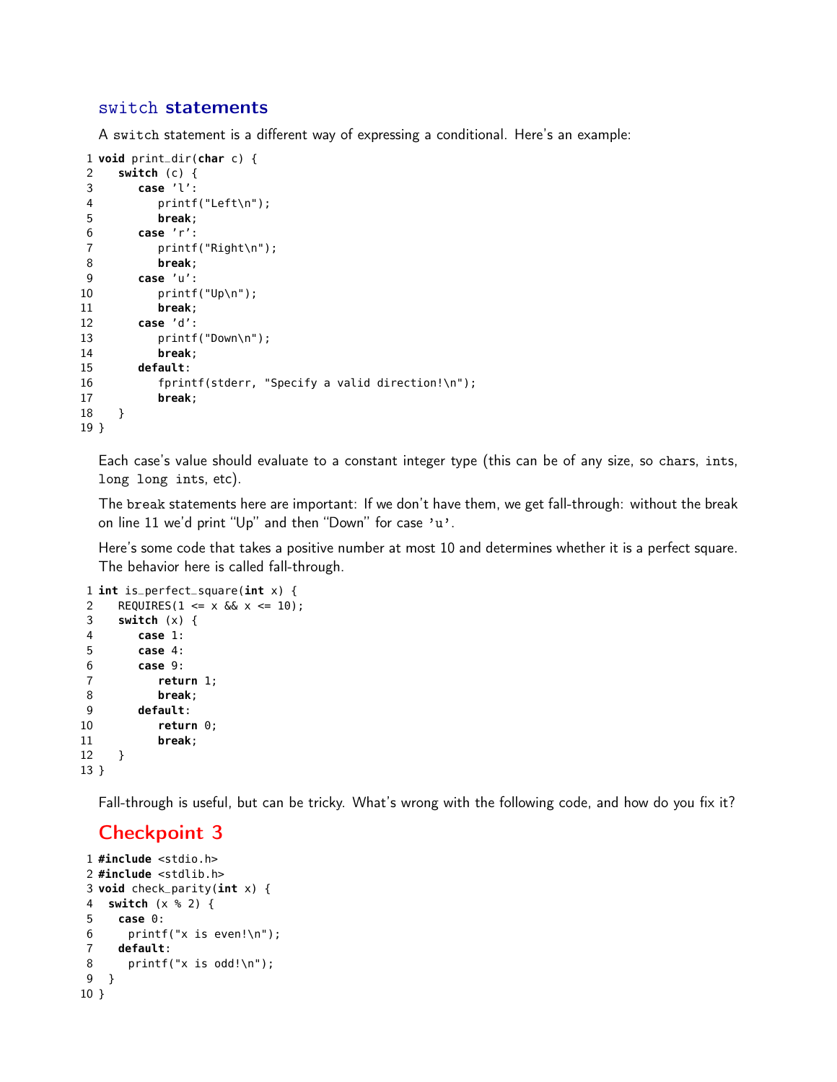#### switch statements

A switch statement is a different way of expressing a conditional. Here's an example:

```
1 void print_dir(char c) {
2 switch (c) {
3 case 'l':
4 printf("Left\n");
5 break;
6 case 'r':
7 printf("Right\n");
8 break;
9 case 'u':
10 printf("Up\n");
11 break;
12 case 'd':
13 printf("Down\n");
14 break;
15 default:
16 fprintf(stderr, "Specify a valid direction!\n");
17 break;
18 }
19 }
```
Each case's value should evaluate to a constant integer type (this can be of any size, so chars, ints, long long ints, etc).

The break statements here are important: If we don't have them, we get fall-through: without the break on line 11 we'd print "Up" and then "Down" for case 'u'.

Here's some code that takes a positive number at most 10 and determines whether it is a perfect square. The behavior here is called fall-through.

```
1 int is_perfect_square(int x) {
2 REQUIRES(1 <= x \&6x x <= 10);
3 switch (x) {
4 case 1:
5 case 4:
6 case 9:
7 return 1;
8 break;
9 default:
10 return 0;
11 break;
12 }
13 }
```
Fall-through is useful, but can be tricky. What's wrong with the following code, and how do you fix it?

#### Checkpoint 3

```
1 #include <stdio.h>
2 #include <stdlib.h>
3 void check_parity(int x) {
4 switch (x % 2) {
5 case 0:
6 printf("x is even!\n\cdot");
7 default:
8 printf("x is odd!\n");
9 }
10 }
```